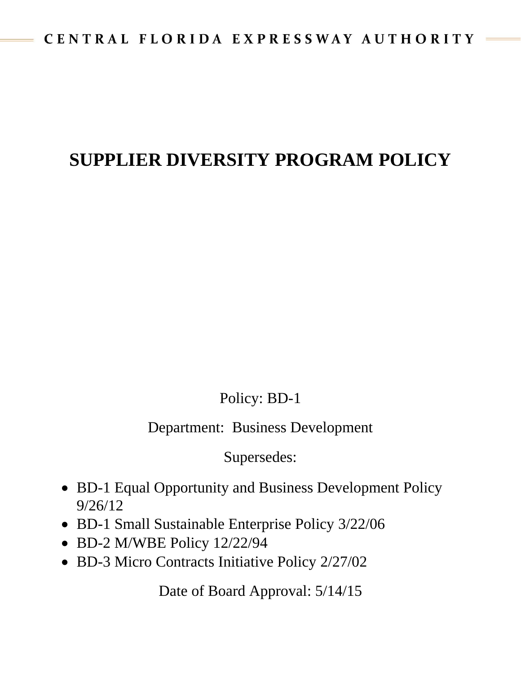## **SUPPLIER DIVERSITY PROGRAM POLICY**

Policy: BD-1

Department: Business Development

Supersedes:

- BD-1 Equal Opportunity and Business Development Policy 9/26/12
- BD-1 Small Sustainable Enterprise Policy 3/22/06
- BD-2 M/WBE Policy 12/22/94
- BD-3 Micro Contracts Initiative Policy 2/27/02

Date of Board Approval: 5/14/15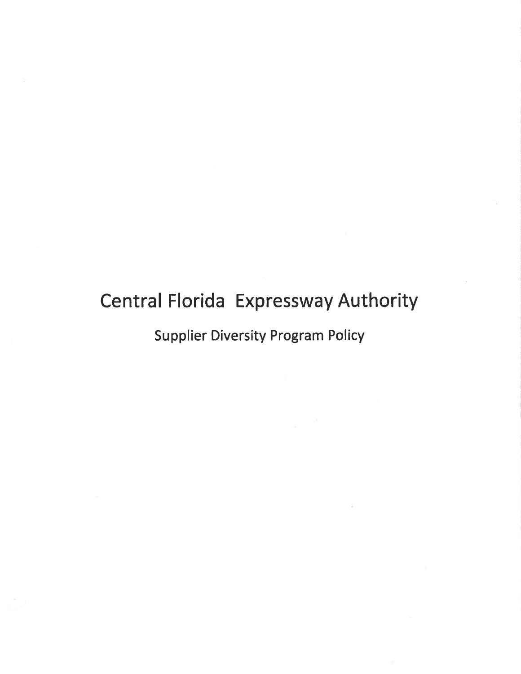# Central Florida Expressway Authority

Supplier Diversíty Program Policy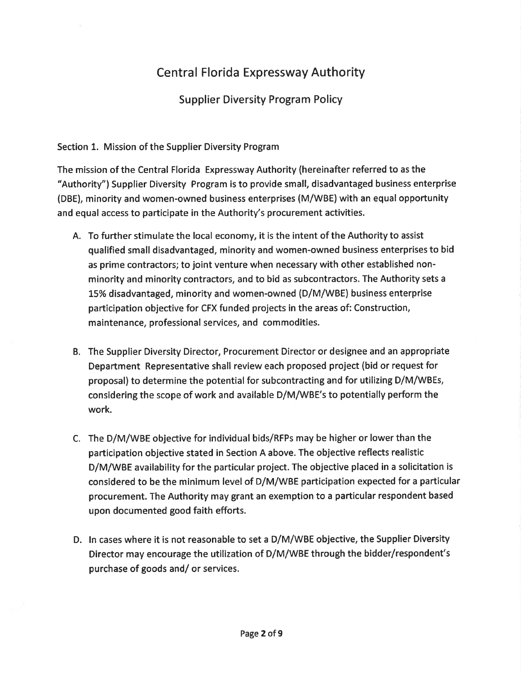### Central Florida Expressway Authority

Supplier Diversity Program Policy

#### Section 1. Mission of the Supplier Diversity Program

The mission of the Central Florida Expressway Authority (hereinafter referred to as the "Authority") Supplier Diversity Program is to provide small, disadvantaged business enterprise (DBE), minority and women-owned business enterprises (M/WBE) with an equal opportunity and equal access to partícipate in the Authority's procurement activities.

- A. To further stimulate the local economy, it is the intent of the Authority to assist qualified small disadvantaged, minority and women-owned business enterprises to bid as prime contractors; to joint venture when necessary with other established nonminority and minority contractors, and to bid as subcontractors. The Authority sets a L5% disadvantaged, minority and women-owned (D/M/WBE) business enterprise participation objective for CFX funded projects in the areas of: Construction, maintenance, professional services, and commodities.
- B. The Supplier Diversity Director, Procurement Director or designee and an appropriate Department Representative shall review each proposed project (bid or request for proposal) to determine the potential for subcontracting and for utilizing D/M/WBEs, considering the scope of work and available D/M/WBE's to potentially perform the work.
- C. The D/M/WBE objective for individual bids/RFPs may be higher or lower than the participation objective stated in Section A above. The objective reflects realistic D/M/WBE availability for the particular project. The objective placed in a solicitation is considered to be the minimum level of D/M/WBE participation expected for a particular procurement. The Authority may grant an exemption to a particular respondent based upon documented good faith efforts.
- D. ln cases where it is not reasonable to set a D/M/WBE objective, the Supplier Diversity Director may encourage the utilization of D/M/WBE through the bidder/respondent's purchase of goods and/ or services.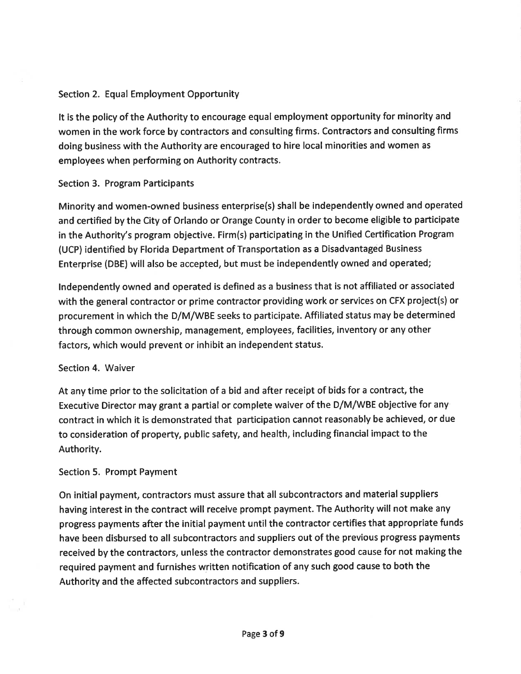#### Section 2. Equal Employment Opportunity

It is the policy of the Authority to encourage equal employment opportunity for minority and women in the work force by contractors and consulting firms. Contractors and consulting firms doing business with the Authority are encouraged to hire local minorities and women as employees when performing on Authority contracts.

#### Section 3. Program Participants

Minority and women-owned business enterprise(s) shall be independently owned and operated and certified by the City of Orlando or Orange County in order to become eligible to participate in the Authority's program objective. Firm(s) participating in the Unified Certification Program (UCP) identified by Florida Department of Transportation as a Disadvantaged Business Enterprise (DBE) will also be accepted, but must be independently owned and operated;

Independently owned and operated is defined as a business that is not affiliated or associated with the general contractor or prime contractor providing work or services on CFX project(s) or procurement in which the D/M/WBE seeks to participate. Affiliated status may be determined through common ownership, management, employees, facilities, inventory or any other factors, which would prevent or inhibit an independent status.

#### Section 4. Waiver

At any time prior to the solicitation of a bid and after receipt of bids for a contract, the Executive Director may grant a partial or complete waiver of the D/M/WBE objective for any contract in which it is demonstrated that participation cannot reasonably be achieved, or due to consideration of property, public safety, and health, including financial impact to the Authority.

#### Section 5. Prompt Payment

On initial payment, contractors must assure that all subcontractors and material suppliers having interest in the contract will receive prompt payment. The Authority will not make any progress payments after the initial payment until the contractor certifies that appropriate funds have been disbursed to all subcontractors and suppliers out of the previous progress payments received by the contractors, unless the contractor demonstrates good cause for not making the required payment and furnishes written notification of any such good cause to both the Authority and the affected subcontractors and suppliers.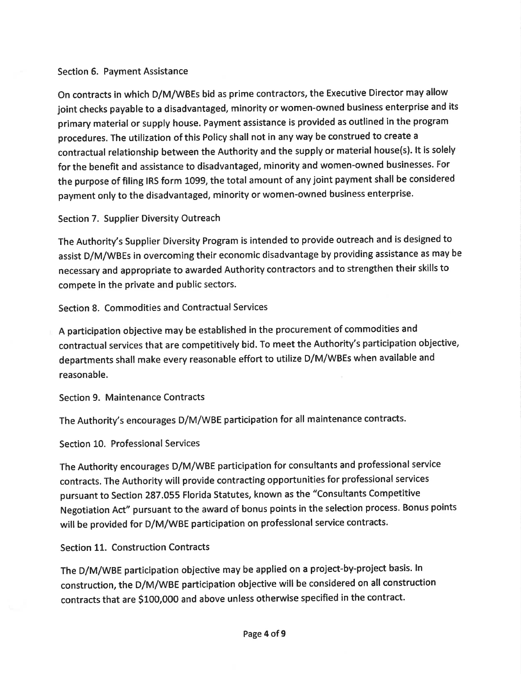#### Section 6. Payment Assistance

On contracts in which D/M/WBEs bid as prime contractors, the Executive Director may allow joint checks payable to a disadvantaged, minority or women-owned business enterprise and its primary material or supply house. Payment assistance is provided as outlined in the program procedures. The utilization of this Policy shall not in any way be construed to create <sup>a</sup> contractual relationship between the Authority and the supply or material house(s). lt is solely for the benefit and assistance to disadvantaged, minority and women-owned businesses. For the purpose of filing IRS form 1099, the total amount of any joint payment shall be considered payment only to the disadvantaged, minority or women-owned business enterprise.

#### Section 7. Supplier Diversity Outreach

The Authority's Supplier Diversity Program is intended to provide outreach and is designed to assist D/M/WBEs in overcoming their economic disadvantage by providing assistance as may be necessary and appropriate to awarded Authority contractors and to strengthen their skills to compete in the private and public sectors.

Section 8. Commodities and Contractual Services

A participation objective may be established in the procurement of commodities and contractual services that are competitively bid. To meet the Authority's participation objective, departments shall make every reasonable effort to utilize D/M/WBEs when available and reasonable.

Section 9. Maintenance Contracts

The Authority's encourages D/M/WBE participation for all maintenance contracts.

Section 10. Professional Services

The Authority encourages D/M/WBE participation for consultants and professional service contracts. The Authority will provide contracting opportunities for professional services pursuant to Section 287.055 Florida Statutes, known as the "Consultants Competitive Negotiation Act" pursuant to the award of bonus points in the selection process. Bonus points will be provided for D/M/WBE participation on professional service contracts.

Section 11. Construction Contracts

The D/M/WBE participation objective may be applied on a project-by-project basis. ln construction, the D/M/WBE participation objective will be considered on allconstruction contracts that are S1O0,OOO and above unless otherwise specified in the contract.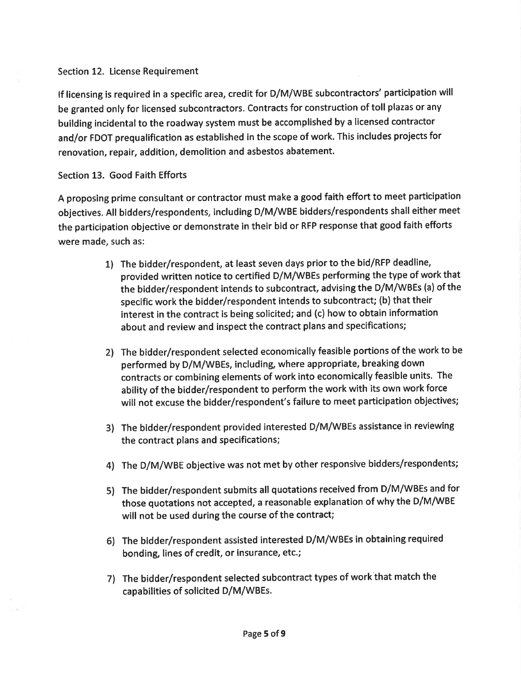#### Section 12. License Requirement

lf licensing is required in a specific area, credit for D/M/WBE subcontractors' participation will be granted only for licensed subcontractors. Contracts for construction of toll plazas or any building incidental to the roadway system must be accomplished by a licensed contractor and/or FDOT prequalification as established in the scope of work, This includes projects for renovation, repair, addition, demolition and asbestos abatement.

#### Section 13. Good Faith Efforts

A proposing prime consultant or contractor must make a good faith effort to meet participation objectives. All bidders/respondents, including D/M/WBE bidders/respondents shall either meet the participatíon objective or demonstrate in their bid or RFP response that good faith efforts were made, such as:

- 1) The bidder/respondent, at least seven days prior to the bid/RFP deadline, provided written notice to certified D/M/WBEs performing the type of work that the bidder/respondent intends to subcontract, advising the D/M/WBEs (a) of the specific work the bidder/respondent intends to subcontract; (b) that their interest in the contract is being solicited; and (c) how to obtain information about and review and inspect the contract plans and specifications;
- 2) The bidder/respondent selected economically feasible portions of the work to be performed by D/M/WBEs, including, where appropriate, breaking down contracts or combining elements of work into economically feasible units. The ability of the bidder/respondent to perform the work with its own work force will not excuse the bidder/respondent's failure to meet participation objectives;
- 3) The bidder/respondent provided interested D/M/WBEs assistance in reviewing the contract plans and specifications;
- 4) The D/M/WBE objective was not met by other responsive bidders/respondents;
- 5) The bidder/respondent submits all quotations received from D/M/WBEs and for those quotations not accepted, a reasonable explanation of why the D/M/WBE will not be used during the course of the contract;
- 6) The bidder/respondent assisted interested D/M/WBES in obtaining required bonding, lines of credit, or insurance, etc.;
- 7) The bidder/respondent selected subcontract types of work that match the capabilities of solicited D/M/WBEs.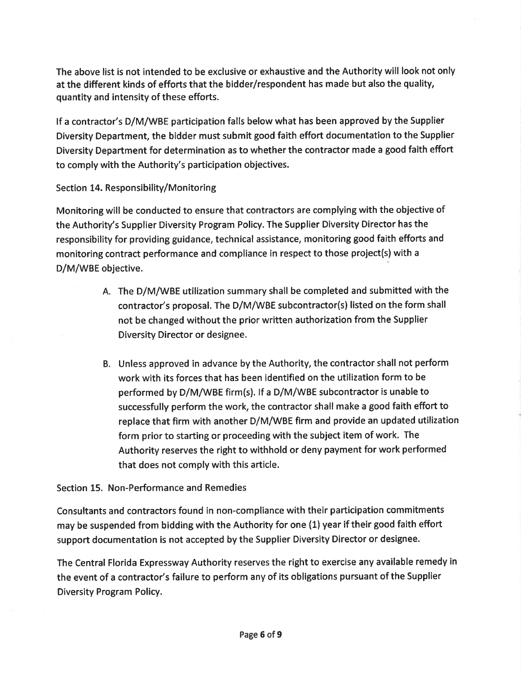The above list is not intended to be exclusive or exhaustive and the Authority will look not only at the different kinds of efforts that the bidder/respondent has made but also the quality, quantity and intensity of these efforts.

lf a contractor's D/M/WBE participation falls below what has been approved by the Supplier Diversity Department, the bidder must submit good faith effort documentation to the Supplier Diversity Department for determination as to whether the contractor made a good faith effort to comply with the Authority's participation objectives.

#### Section 14. Responsibility/Monitoring

Monitoring will be conducted to ensure that contractors are complying with the objective of the Authority's Supplier Diversity Program Policy. The Supplier Diversity Director has the responsibility for providing guidance, technical assistance, monitoring good faith efforts and monitoring contract performance and compliance in respect to those project(s) with <sup>a</sup> D/M/WBE objective.

- A. The D/M/WBE utilization summary shall be completed and submitted with the contractor's proposal. The D/M/WBE subcontractor(s) listed on the form shall not be changed without the prior written authorization from the Supplier Diversity Director or designee.
- B. Unless approved in advance by the Authority, the contractor shall not perform work with its forces that has been identified on the utilization form to be performed by D/M/WBE firm(s). If a D/M/WBE subcontractor is unable to successfully perform the work, the contractor shall make a good faith effort to replace that firm with another D/M/WBE firm and provide an updated utilization form prior to starting or proceeding with the subject item of work. The Authority reserves the right to withhold or deny payment for work performed that does not comply with this article.

#### Section 15. Non-Performance and Remedies

Consultants and contractors found in non-compliance with their participation commitments may be suspended from bidding with the Authority for one (1) year if their good faith effort support documentation is not accepted by the Supplier Diversity Director or designee.

The Central Florida Expressway Authority reserves the right to exercise any available remedy in the event of a contractor's failure to perform any of its obligations pursuant of the Supplier Díversity Program Policy.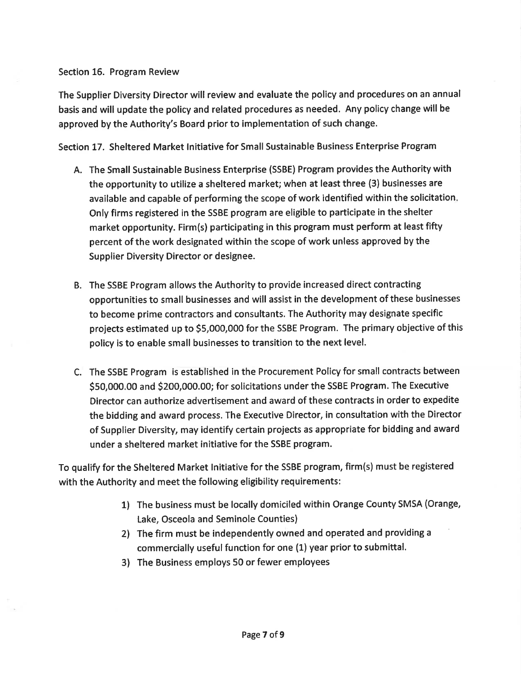#### Section 16. Program Review

The Supplier Diversity Director will review and evaluate the policy and procedures on an annual basis and will update the policy and related procedures as needed. Any policy change will be approved by the Authority's Board prior to implementation of such change.

Section 17. Sheltered Market lnitiative for Small Sustainable Business Enterprise Program

- A. The Small Sustainable Business Enterprise (SSBE) Program provides the Authority with the opportunity to utilize a sheltered market; when at least three (3) businesses are available and capable of performing the scope of work identified within the solicitation Only firms registered in the SSBE program are eligible to participate in the shelter market opportunity. Firm(s) participating in this program must perform at least fifty percent of the work designated within the scope of work unless approved by the Supplier Diversity Director or designee.
- B. The SSBE Program allows the Authority to provide increased direct contracting opportunities to small businesses and will assist in the development of these businesses to become prime contractors and consultants. The Authority may designate specific projects estimated up to 55,000,000 for the SSBE Program. The primary objective of this policy is to enable small businesses to transition to the next level.
- C. The SSBE Program is established in the Procurement Policy for small contracts between SS0,OOO.OO and 5200,000.00; for solicitations under the SSBE Program. The Executive Director can authorize advertisement and award of these contracts in order to expedite the bidding and award process. The Executive Director, in consultation with the Director of Supplier Diversity, may identify certain projects as appropriate for bidding and award under a sheltered market initiative for the SSBE program.

To qualify for the Sheltered Market lnitiative for the SSBE program, firm(s) must be registered with the Authority and meet the following eligibility requirements:

- 1) The business must be locally domiciled within Orange County SMSA (Orange, Lake, Osceola and Seminole Counties)
- 2) The firm must be independently owned and operated and providing a commercially useful function for one (1) year prior to submittal.
- 3) The Business employs 50 or fewer employees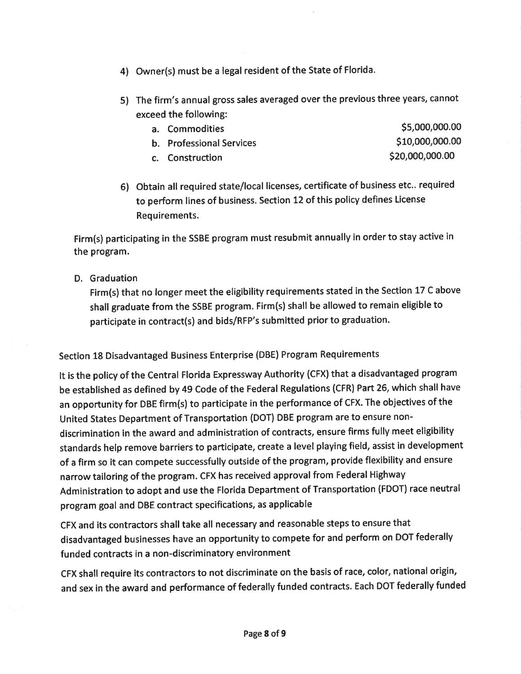- 4) Owner(s) must be a legal resident of the State of Florida.
- 5) The firm's annual gross sales averaged over the previous three years, cannot exceed the following:
	- a. Commodities states states states and the states states states states states states states states states states states states states states states states states states states states states states states states states sta b. Professional Services 6th and the state of the S10,000,000.00
	- c. Construction  $\lesssim 20,000,000.00$

6) Obtain all required state/local licenses, certificate of business etc.. required to perform lines of business. Section 12 of this policy defines License Requirements.

Firm(s) participating in the SSBE program must resubmit annually in order to stay active in the program.

D. Graduation

Firm(s) that no longer meet the eligibility requirements stated in the Section 17 C above shall graduate from the SSBE program. Firm(s) shall be allowed to remain eligible to participate in contract(s) and bids/RFP's submitted prior to graduation.

#### Section 18 Disadvantaged Business Enterprise (DBE) Program Requirements

It is the policy of the Central Florida Expressway Authority (CFX) that a disadvantaged program be established as defined by 49 Code of the Federal Regulations (CFR) Part 26, which shall have an opportunity for DBE firm(s) to participate in the performance of CFX. The objectives of the United States Department of Transportation (DOT) DBE program are to ensure nondiscrimination in the award and administration of contracts, ensure firms fully meet eligibility standards help remove barriers to participate, create a level playing field, assist in development of a firm so it can compete successfully outside of the program, provide flexibility and ensure narrow tailoring of the program. CFX has received approval from Federal Highway Administration to adopt and use the Florida Department of Transportation (FDOT) race neutral program goal and DBE contract specifications, as applicable

CFX and its contractors shall take all necessary and reasonable steps to ensure that disadvantaged businesses have an opportunity to compete for and perform on DOT federally funded contracts in a non-discriminatory environment

CFX shall require its contractors to not discriminate on the basis of race, color, national origin, and sex in the award and performance of federally funded contracts. Each DOT federally funded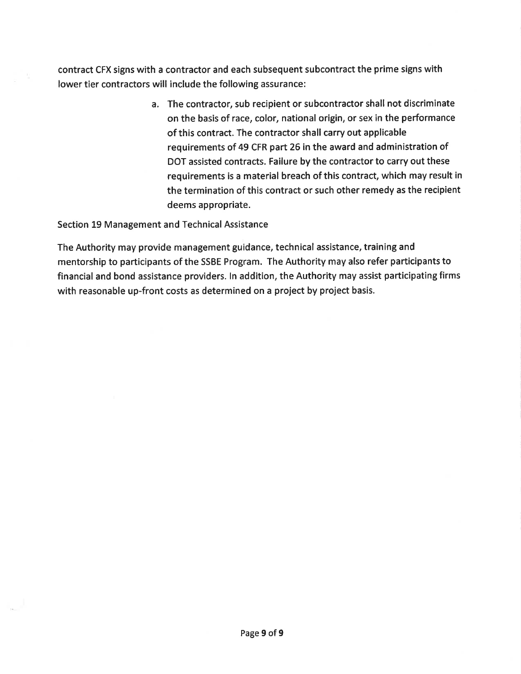contract CFX signs with a contractor and each subsequent subcontract the prime signs with lower tier contractors will include the following assurance:

> a. The contractor, sub recipient or subcontractor shall not discriminate on the basis of race, color, national origin, or sex in the performance of this contract. The contractor shall carry out applicable requirements of 49 CFR part 26 in the award and administration of DOT assisted contracts. Failure by the contractor to carry out these requirements is a material breach of this contract, which may result in the termination of this contract or such other remedy as the recipient deems appropriate.

Section 19 Management and Technical Assistance

The Authority may provide management guidance, technical assistance, training and mentorship to participants of the SSBE Program. The Authority may also refer participants to financial and bond assistance providers. ln addition, the Authority may assist participating firms with reasonable up-front costs as determined on a project by project basis.